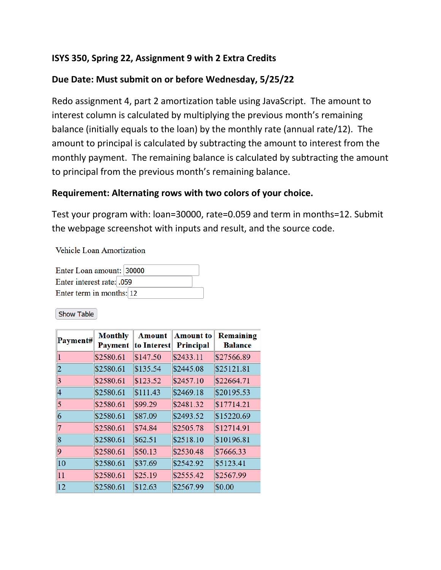## **ISYS 350, Spring 22, Assignment 9 with 2 Extra Credits**

## **Due Date: Must submit on or before Wednesday, 5/25/22**

Redo assignment 4, part 2 amortization table using JavaScript. The amount to interest column is calculated by multiplying the previous month's remaining balance (initially equals to the loan) by the monthly rate (annual rate/12). The amount to principal is calculated by subtracting the amount to interest from the monthly payment. The remaining balance is calculated by subtracting the amount to principal from the previous month's remaining balance.

## **Requirement: Alternating rows with two colors of your choice.**

Test your program with: loan=30000, rate=0.059 and term in months=12. Submit the webpage screenshot with inputs and result, and the source code.

Vehicle Loan Amortization

Enter Loan amount: 30000 Enter interest rate: .059 Enter term in months: 12

Show Table

| Payment#       | <b>Monthly</b><br><b>Payment</b> | Amount<br>to Interest | Amount to<br>Principal | Remaining<br><b>Balance</b> |
|----------------|----------------------------------|-----------------------|------------------------|-----------------------------|
|                | \$2580.61                        | \$147.50              | \$2433.11              | \$27566.89                  |
| 2              | \$2580.61                        | \$135.54              | \$2445.08              | \$25121.81                  |
| 3              | \$2580.61                        | \$123.52              | \$2457.10              | \$22664.71                  |
| 4              | \$2580.61                        | \$111.43              | \$2469.18              | \$20195.53                  |
| 5              | \$2580.61                        | \$99.29               | \$2481.32              | \$17714.21                  |
| 6              | \$2580.61                        | \$87.09               | \$2493.52              | \$15220.69                  |
| 7              | \$2580.61                        | \$74.84               | \$2505.78              | \$12714.91                  |
| $\overline{8}$ | \$2580.61                        | \$62.51               | \$2518.10              | \$10196.81                  |
| 9              | \$2580.61                        | \$50.13               | \$2530.48              | \$7666.33                   |
| 10             | \$2580.61                        | \$37.69               | \$2542.92              | \$5123.41                   |
| 11             | \$2580.61                        | \$25.19               | \$2555.42              | \$2567.99                   |
| $ 12\rangle$   | \$2580.61                        | \$12.63               | \$2567.99              | \$0.00                      |